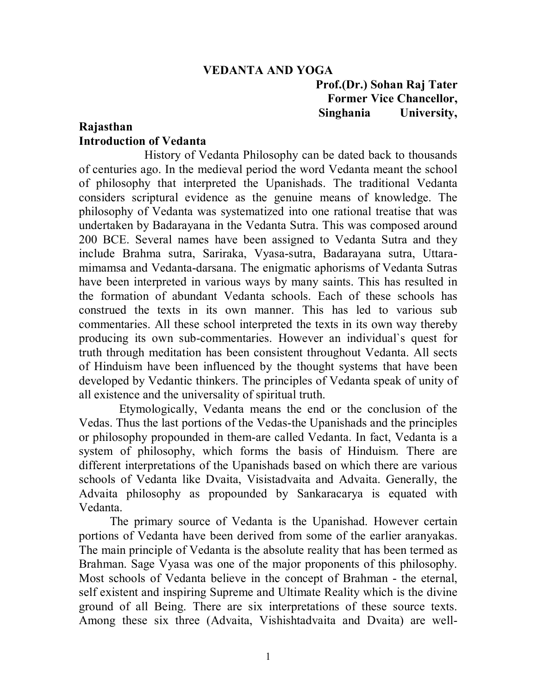#### **VEDANTA AND YOGA**

 **Prof.(Dr.) Sohan Raj Tater Former Vice Chancellor, Singhania University,** 

#### **Rajasthan Introduction of Vedanta**

 History of Vedanta Philosophy can be dated back to thousands of centuries ago. In the medieval period the word Vedanta meant the school of philosophy that interpreted the Upanishads. The traditional Vedanta considers scriptural evidence as the genuine means of knowledge. The philosophy of Vedanta was systematized into one rational treatise that was undertaken by Badarayana in the Vedanta Sutra. This was composed around 200 BCE. Several names have been assigned to Vedanta Sutra and they include Brahma sutra, Sariraka, Vyasa-sutra, Badarayana sutra, Uttaramimamsa and Vedanta-darsana. The enigmatic aphorisms of Vedanta Sutras have been interpreted in various ways by many saints. This has resulted in the formation of abundant Vedanta schools. Each of these schools has construed the texts in its own manner. This has led to various sub commentaries. All these school interpreted the texts in its own way thereby producing its own sub-commentaries. However an individual`s quest for truth through meditation has been consistent throughout Vedanta. All sects of Hinduism have been influenced by the thought systems that have been developed by Vedantic thinkers. The principles of Vedanta speak of unity of all existence and the universality of spiritual truth.

 Etymologically, Vedanta means the end or the conclusion of the Vedas. Thus the last portions of the Vedas-the Upanishads and the principles or philosophy propounded in them-are called Vedanta. In fact, Vedanta is a system of philosophy, which forms the basis of Hinduism. There are different interpretations of the Upanishads based on which there are various schools of Vedanta like Dvaita, Visistadvaita and Advaita. Generally, the Advaita philosophy as propounded by Sankaracarya is equated with Vedanta.

 The primary source of Vedanta is the Upanishad. However certain portions of Vedanta have been derived from some of the earlier aranyakas. The main principle of Vedanta is the absolute reality that has been termed as Brahman. Sage Vyasa was one of the major proponents of this philosophy. Most schools of Vedanta believe in the concept of Brahman - the eternal, self existent and inspiring Supreme and Ultimate Reality which is the divine ground of all Being. There are six interpretations of these source texts. Among these six three (Advaita, Vishishtadvaita and Dvaita) are well-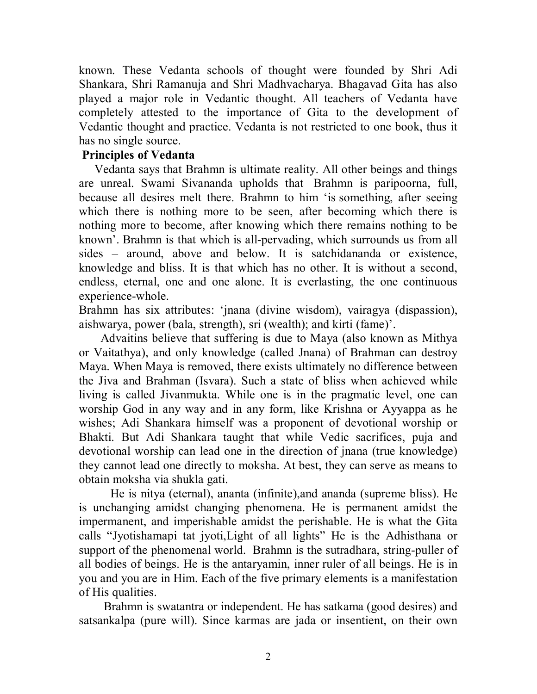known. These Vedanta schools of thought were founded by Shri Adi Shankara, Shri Ramanuja and Shri Madhvacharya. Bhagavad Gita has also played a major role in Vedantic thought. All teachers of Vedanta have completely attested to the importance of Gita to the development of Vedantic thought and practice. Vedanta is not restricted to one book, thus it has no single source.

### **Principles of Vedanta**

 Vedanta says that Brahmn is ultimate reality. All other beings and things are unreal. Swami Sivananda upholds that Brahmn is paripoorna, full, because all desires melt there. Brahmn to him 'is something, after seeing which there is nothing more to be seen, after becoming which there is nothing more to become, after knowing which there remains nothing to be known'. Brahmn is that which is all-pervading, which surrounds us from all sides – around, above and below. It is satchidananda or existence, knowledge and bliss. It is that which has no other. It is without a second, endless, eternal, one and one alone. It is everlasting, the one continuous experience-whole.

Brahmn has six attributes: 'jnana (divine wisdom), vairagya (dispassion), aishwarya, power (bala, strength), sri (wealth); and kirti (fame)'.

 Advaitins believe that suffering is due to Maya (also known as Mithya or Vaitathya), and only knowledge (called Jnana) of Brahman can destroy Maya. When Maya is removed, there exists ultimately no difference between the Jiva and Brahman (Isvara). Such a state of bliss when achieved while living is called Jivanmukta. While one is in the pragmatic level, one can worship God in any way and in any form, like Krishna or Ayyappa as he wishes; Adi Shankara himself was a proponent of devotional worship or Bhakti. But Adi Shankara taught that while Vedic sacrifices, puja and devotional worship can lead one in the direction of jnana (true knowledge) they cannot lead one directly to moksha. At best, they can serve as means to obtain moksha via shukla gati.

He is nitya (eternal), ananta (infinite),and ananda (supreme bliss). He is unchanging amidst changing phenomena. He is permanent amidst the impermanent, and imperishable amidst the perishable. He is what the Gita calls "Jyotishamapi tat jyoti,Light of all lights" He is the Adhisthana or support of the phenomenal world. Brahmn is the sutradhara, string-puller of all bodies of beings. He is the antaryamin, inner ruler of all beings. He is in you and you are in Him. Each of the five primary elements is a manifestation of His qualities.

 Brahmn is swatantra or independent. He has satkama (good desires) and satsankalpa (pure will). Since karmas are jada or insentient, on their own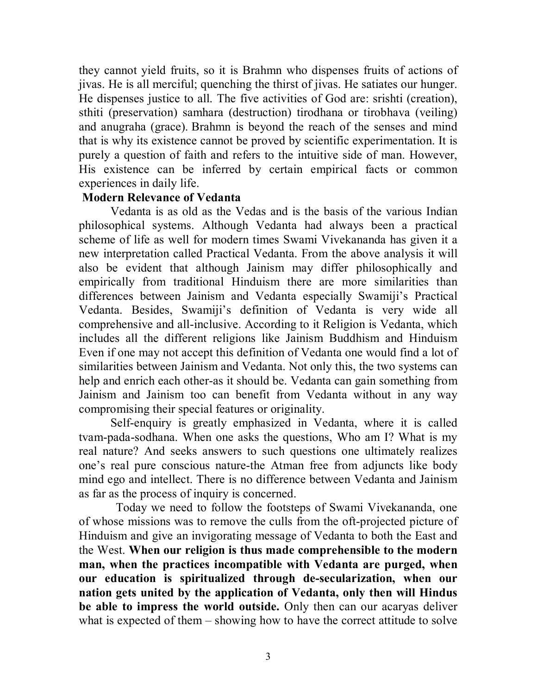they cannot yield fruits, so it is Brahmn who dispenses fruits of actions of jivas. He is all merciful; quenching the thirst of jivas. He satiates our hunger. He dispenses justice to all. The five activities of God are: srishti (creation), sthiti (preservation) samhara (destruction) tirodhana or tirobhava (veiling) and anugraha (grace). Brahmn is beyond the reach of the senses and mind that is why its existence cannot be proved by scientific experimentation. It is purely a question of faith and refers to the intuitive side of man. However, His existence can be inferred by certain empirical facts or common experiences in daily life.

#### **Modern Relevance of Vedanta**

Vedanta is as old as the Vedas and is the basis of the various Indian philosophical systems. Although Vedanta had always been a practical scheme of life as well for modern times Swami Vivekananda has given it a new interpretation called Practical Vedanta. From the above analysis it will also be evident that although Jainism may differ philosophically and empirically from traditional Hinduism there are more similarities than differences between Jainism and Vedanta especially Swamiji's Practical Vedanta. Besides, Swamiji's definition of Vedanta is very wide all comprehensive and all-inclusive. According to it Religion is Vedanta, which includes all the different religions like Jainism Buddhism and Hinduism Even if one may not accept this definition of Vedanta one would find a lot of similarities between Jainism and Vedanta. Not only this, the two systems can help and enrich each other-as it should be. Vedanta can gain something from Jainism and Jainism too can benefit from Vedanta without in any way compromising their special features or originality.

 Self-enquiry is greatly emphasized in Vedanta, where it is called tvam-pada-sodhana. When one asks the questions, Who am I? What is my real nature? And seeks answers to such questions one ultimately realizes one's real pure conscious nature-the Atman free from adjuncts like body mind ego and intellect. There is no difference between Vedanta and Jainism as far as the process of inquiry is concerned.

 Today we need to follow the footsteps of Swami Vivekananda, one of whose missions was to remove the culls from the oft-projected picture of Hinduism and give an invigorating message of Vedanta to both the East and the West. **When our religion is thus made comprehensible to the modern man, when the practices incompatible with Vedanta are purged, when our education is spiritualized through de-secularization, when our nation gets united by the application of Vedanta, only then will Hindus be able to impress the world outside.** Only then can our acaryas deliver what is expected of them – showing how to have the correct attitude to solve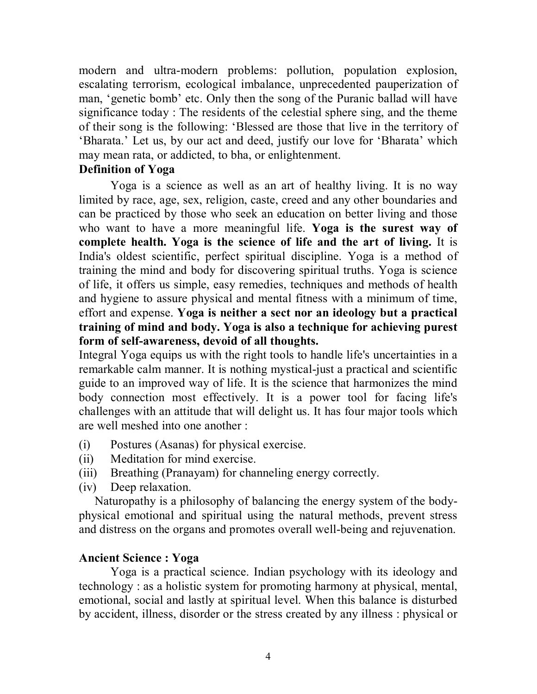modern and ultra-modern problems: pollution, population explosion, escalating terrorism, ecological imbalance, unprecedented pauperization of man, 'genetic bomb' etc. Only then the song of the Puranic ballad will have significance today : The residents of the celestial sphere sing, and the theme of their song is the following: 'Blessed are those that live in the territory of 'Bharata.' Let us, by our act and deed, justify our love for 'Bharata' which may mean rata, or addicted, to bha, or enlightenment.

#### **Definition of Yoga**

Yoga is a science as well as an art of healthy living. It is no way limited by race, age, sex, religion, caste, creed and any other boundaries and can be practiced by those who seek an education on better living and those who want to have a more meaningful life. **Yoga is the surest way of complete health. Yoga is the science of life and the art of living.** It is India's oldest scientific, perfect spiritual discipline. Yoga is a method of training the mind and body for discovering spiritual truths. Yoga is science of life, it offers us simple, easy remedies, techniques and methods of health and hygiene to assure physical and mental fitness with a minimum of time, effort and expense. **Yoga is neither a sect nor an ideology but a practical training of mind and body. Yoga is also a technique for achieving purest form of self-awareness, devoid of all thoughts.**

Integral Yoga equips us with the right tools to handle life's uncertainties in a remarkable calm manner. It is nothing mystical-just a practical and scientific guide to an improved way of life. It is the science that harmonizes the mind body connection most effectively. It is a power tool for facing life's challenges with an attitude that will delight us. It has four major tools which are well meshed into one another :

- (i) Postures (Asanas) for physical exercise.
- (ii) Meditation for mind exercise.
- (iii) Breathing (Pranayam) for channeling energy correctly.
- (iv) Deep relaxation.

Naturopathy is a philosophy of balancing the energy system of the bodyphysical emotional and spiritual using the natural methods, prevent stress and distress on the organs and promotes overall well-being and rejuvenation.

#### **Ancient Science : Yoga**

Yoga is a practical science. Indian psychology with its ideology and technology : as a holistic system for promoting harmony at physical, mental, emotional, social and lastly at spiritual level. When this balance is disturbed by accident, illness, disorder or the stress created by any illness : physical or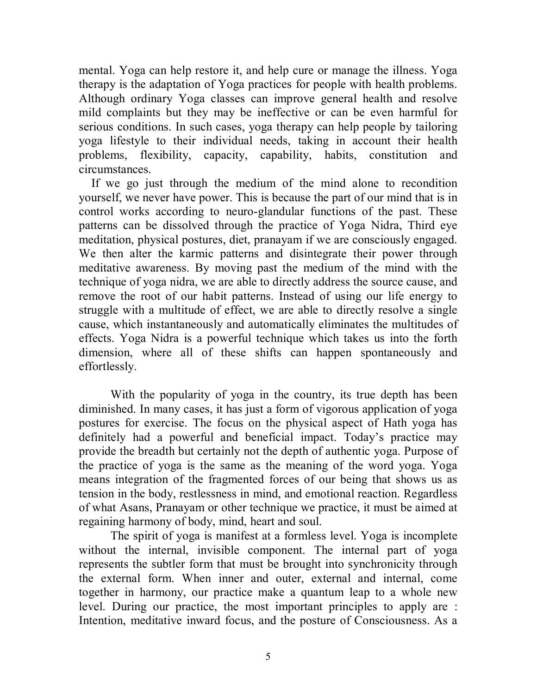mental. Yoga can help restore it, and help cure or manage the illness. Yoga therapy is the adaptation of Yoga practices for people with health problems. Although ordinary Yoga classes can improve general health and resolve mild complaints but they may be ineffective or can be even harmful for serious conditions. In such cases, yoga therapy can help people by tailoring yoga lifestyle to their individual needs, taking in account their health problems, flexibility, capacity, capability, habits, constitution and circumstances.

 If we go just through the medium of the mind alone to recondition yourself, we never have power. This is because the part of our mind that is in control works according to neuro-glandular functions of the past. These patterns can be dissolved through the practice of Yoga Nidra, Third eye meditation, physical postures, diet, pranayam if we are consciously engaged. We then alter the karmic patterns and disintegrate their power through meditative awareness. By moving past the medium of the mind with the technique of yoga nidra, we are able to directly address the source cause, and remove the root of our habit patterns. Instead of using our life energy to struggle with a multitude of effect, we are able to directly resolve a single cause, which instantaneously and automatically eliminates the multitudes of effects. Yoga Nidra is a powerful technique which takes us into the forth dimension, where all of these shifts can happen spontaneously and effortlessly.

With the popularity of yoga in the country, its true depth has been diminished. In many cases, it has just a form of vigorous application of yoga postures for exercise. The focus on the physical aspect of Hath yoga has definitely had a powerful and beneficial impact. Today's practice may provide the breadth but certainly not the depth of authentic yoga. Purpose of the practice of yoga is the same as the meaning of the word yoga. Yoga means integration of the fragmented forces of our being that shows us as tension in the body, restlessness in mind, and emotional reaction. Regardless of what Asans, Pranayam or other technique we practice, it must be aimed at regaining harmony of body, mind, heart and soul.

The spirit of yoga is manifest at a formless level. Yoga is incomplete without the internal, invisible component. The internal part of yoga represents the subtler form that must be brought into synchronicity through the external form. When inner and outer, external and internal, come together in harmony, our practice make a quantum leap to a whole new level. During our practice, the most important principles to apply are : Intention, meditative inward focus, and the posture of Consciousness. As a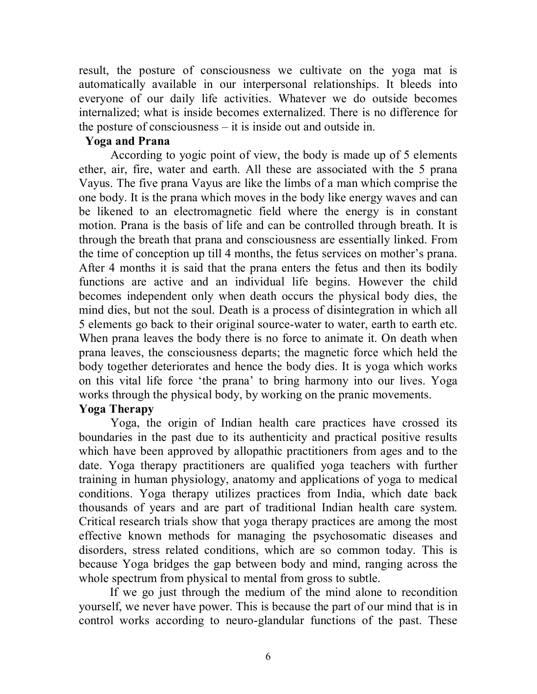result, the posture of consciousness we cultivate on the yoga mat is automatically available in our interpersonal relationships. It bleeds into everyone of our daily life activities. Whatever we do outside becomes internalized; what is inside becomes externalized. There is no difference for the posture of consciousness – it is inside out and outside in.

#### **Yoga and Prana**

According to yogic point of view, the body is made up of 5 elements ether, air, fire, water and earth. All these are associated with the 5 prana Vayus. The five prana Vayus are like the limbs of a man which comprise the one body. It is the prana which moves in the body like energy waves and can be likened to an electromagnetic field where the energy is in constant motion. Prana is the basis of life and can be controlled through breath. It is through the breath that prana and consciousness are essentially linked. From the time of conception up till 4 months, the fetus services on mother's prana. After 4 months it is said that the prana enters the fetus and then its bodily functions are active and an individual life begins. However the child becomes independent only when death occurs the physical body dies, the mind dies, but not the soul. Death is a process of disintegration in which all 5 elements go back to their original source-water to water, earth to earth etc. When prana leaves the body there is no force to animate it. On death when prana leaves, the consciousness departs; the magnetic force which held the body together deteriorates and hence the body dies. It is yoga which works on this vital life force 'the prana' to bring harmony into our lives. Yoga works through the physical body, by working on the pranic movements. **Yoga Therapy** 

Yoga, the origin of Indian health care practices have crossed its boundaries in the past due to its authenticity and practical positive results which have been approved by allopathic practitioners from ages and to the date. Yoga therapy practitioners are qualified yoga teachers with further training in human physiology, anatomy and applications of yoga to medical conditions. Yoga therapy utilizes practices from India, which date back thousands of years and are part of traditional Indian health care system. Critical research trials show that yoga therapy practices are among the most effective known methods for managing the psychosomatic diseases and disorders, stress related conditions, which are so common today. This is because Yoga bridges the gap between body and mind, ranging across the whole spectrum from physical to mental from gross to subtle.

 If we go just through the medium of the mind alone to recondition yourself, we never have power. This is because the part of our mind that is in control works according to neuro-glandular functions of the past. These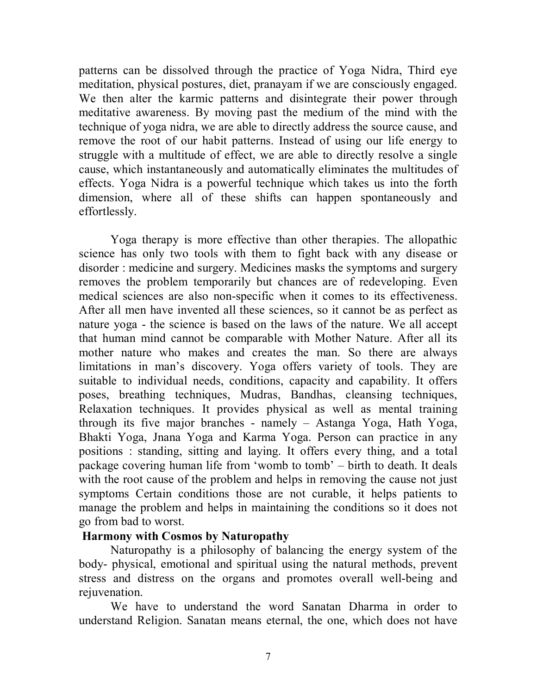patterns can be dissolved through the practice of Yoga Nidra, Third eye meditation, physical postures, diet, pranayam if we are consciously engaged. We then alter the karmic patterns and disintegrate their power through meditative awareness. By moving past the medium of the mind with the technique of yoga nidra, we are able to directly address the source cause, and remove the root of our habit patterns. Instead of using our life energy to struggle with a multitude of effect, we are able to directly resolve a single cause, which instantaneously and automatically eliminates the multitudes of effects. Yoga Nidra is a powerful technique which takes us into the forth dimension, where all of these shifts can happen spontaneously and effortlessly.

Yoga therapy is more effective than other therapies. The allopathic science has only two tools with them to fight back with any disease or disorder : medicine and surgery. Medicines masks the symptoms and surgery removes the problem temporarily but chances are of redeveloping. Even medical sciences are also non-specific when it comes to its effectiveness. After all men have invented all these sciences, so it cannot be as perfect as nature yoga - the science is based on the laws of the nature. We all accept that human mind cannot be comparable with Mother Nature. After all its mother nature who makes and creates the man. So there are always limitations in man's discovery. Yoga offers variety of tools. They are suitable to individual needs, conditions, capacity and capability. It offers poses, breathing techniques, Mudras, Bandhas, cleansing techniques, Relaxation techniques. It provides physical as well as mental training through its five major branches - namely – Astanga Yoga, Hath Yoga, Bhakti Yoga, Jnana Yoga and Karma Yoga. Person can practice in any positions : standing, sitting and laying. It offers every thing, and a total package covering human life from 'womb to tomb' – birth to death. It deals with the root cause of the problem and helps in removing the cause not just symptoms Certain conditions those are not curable, it helps patients to manage the problem and helps in maintaining the conditions so it does not go from bad to worst.

#### **Harmony with Cosmos by Naturopathy**

Naturopathy is a philosophy of balancing the energy system of the body- physical, emotional and spiritual using the natural methods, prevent stress and distress on the organs and promotes overall well-being and rejuvenation.

We have to understand the word Sanatan Dharma in order to understand Religion. Sanatan means eternal, the one, which does not have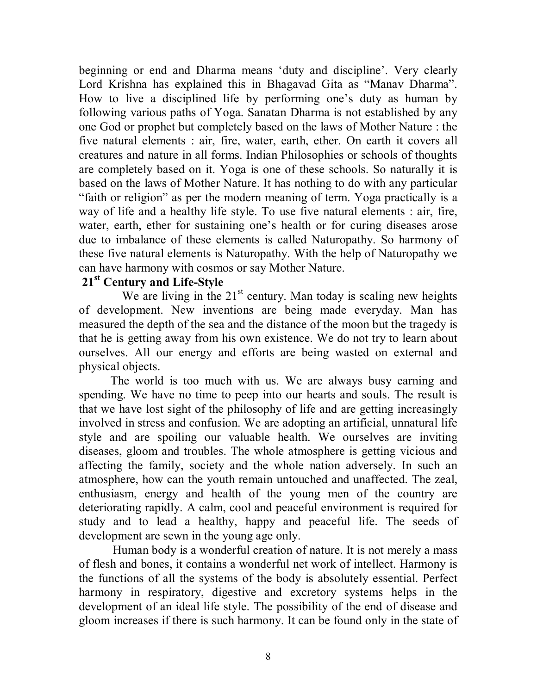beginning or end and Dharma means 'duty and discipline'. Very clearly Lord Krishna has explained this in Bhagavad Gita as "Manav Dharma". How to live a disciplined life by performing one's duty as human by following various paths of Yoga. Sanatan Dharma is not established by any one God or prophet but completely based on the laws of Mother Nature : the five natural elements : air, fire, water, earth, ether. On earth it covers all creatures and nature in all forms. Indian Philosophies or schools of thoughts are completely based on it. Yoga is one of these schools. So naturally it is based on the laws of Mother Nature. It has nothing to do with any particular "faith or religion" as per the modern meaning of term. Yoga practically is a way of life and a healthy life style. To use five natural elements : air, fire, water, earth, ether for sustaining one's health or for curing diseases arose due to imbalance of these elements is called Naturopathy. So harmony of these five natural elements is Naturopathy. With the help of Naturopathy we can have harmony with cosmos or say Mother Nature.

#### **21st Century and Life-Style**

We are living in the  $21<sup>st</sup>$  century. Man today is scaling new heights of development. New inventions are being made everyday. Man has measured the depth of the sea and the distance of the moon but the tragedy is that he is getting away from his own existence. We do not try to learn about ourselves. All our energy and efforts are being wasted on external and physical objects.

The world is too much with us. We are always busy earning and spending. We have no time to peep into our hearts and souls. The result is that we have lost sight of the philosophy of life and are getting increasingly involved in stress and confusion. We are adopting an artificial, unnatural life style and are spoiling our valuable health. We ourselves are inviting diseases, gloom and troubles. The whole atmosphere is getting vicious and affecting the family, society and the whole nation adversely. In such an atmosphere, how can the youth remain untouched and unaffected. The zeal, enthusiasm, energy and health of the young men of the country are deteriorating rapidly. A calm, cool and peaceful environment is required for study and to lead a healthy, happy and peaceful life. The seeds of development are sewn in the young age only.

 Human body is a wonderful creation of nature. It is not merely a mass of flesh and bones, it contains a wonderful net work of intellect. Harmony is the functions of all the systems of the body is absolutely essential. Perfect harmony in respiratory, digestive and excretory systems helps in the development of an ideal life style. The possibility of the end of disease and gloom increases if there is such harmony. It can be found only in the state of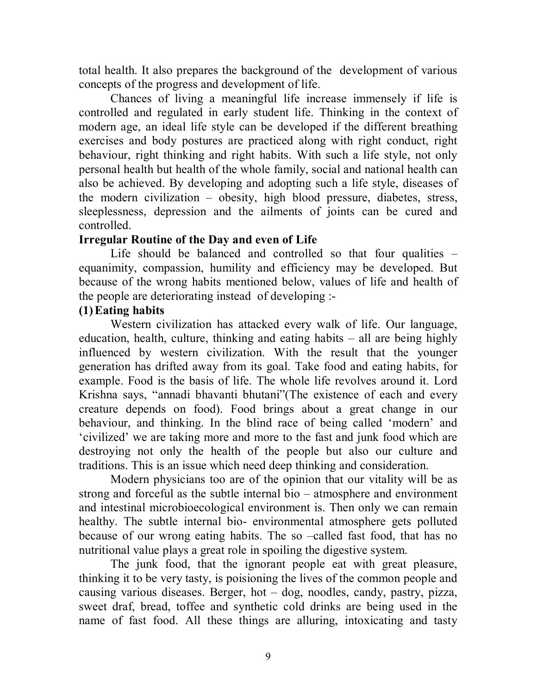total health. It also prepares the background of the development of various concepts of the progress and development of life.

Chances of living a meaningful life increase immensely if life is controlled and regulated in early student life. Thinking in the context of modern age, an ideal life style can be developed if the different breathing exercises and body postures are practiced along with right conduct, right behaviour, right thinking and right habits. With such a life style, not only personal health but health of the whole family, social and national health can also be achieved. By developing and adopting such a life style, diseases of the modern civilization – obesity, high blood pressure, diabetes, stress, sleeplessness, depression and the ailments of joints can be cured and controlled.

### **Irregular Routine of the Day and even of Life**

Life should be balanced and controlled so that four qualities – equanimity, compassion, humility and efficiency may be developed. But because of the wrong habits mentioned below, values of life and health of the people are deteriorating instead of developing :-

## **(1)Eating habits**

Western civilization has attacked every walk of life. Our language, education, health, culture, thinking and eating habits – all are being highly influenced by western civilization. With the result that the younger generation has drifted away from its goal. Take food and eating habits, for example. Food is the basis of life. The whole life revolves around it. Lord Krishna says, "annadi bhavanti bhutani"(The existence of each and every creature depends on food). Food brings about a great change in our behaviour, and thinking. In the blind race of being called 'modern' and 'civilized' we are taking more and more to the fast and junk food which are destroying not only the health of the people but also our culture and traditions. This is an issue which need deep thinking and consideration.

Modern physicians too are of the opinion that our vitality will be as strong and forceful as the subtle internal bio – atmosphere and environment and intestinal microbioecological environment is. Then only we can remain healthy. The subtle internal bio- environmental atmosphere gets polluted because of our wrong eating habits. The so –called fast food, that has no nutritional value plays a great role in spoiling the digestive system.

The junk food, that the ignorant people eat with great pleasure, thinking it to be very tasty, is poisioning the lives of the common people and causing various diseases. Berger, hot – dog, noodles, candy, pastry, pizza, sweet draf, bread, toffee and synthetic cold drinks are being used in the name of fast food. All these things are alluring, intoxicating and tasty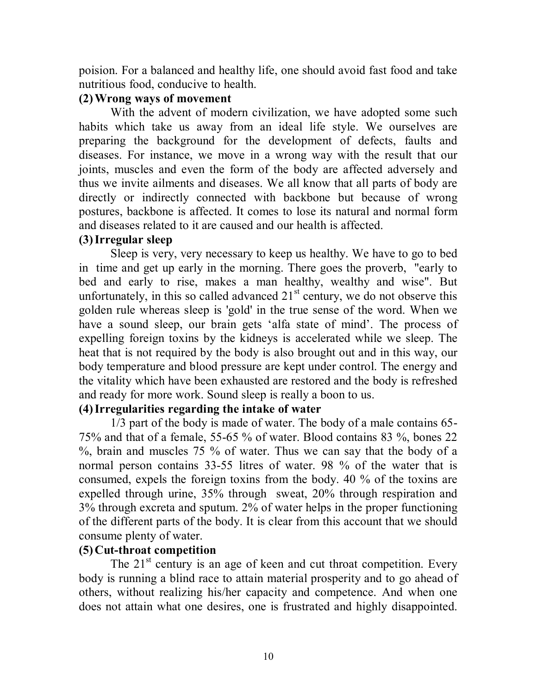poision. For a balanced and healthy life, one should avoid fast food and take nutritious food, conducive to health.

### **(2)Wrong ways of movement**

With the advent of modern civilization, we have adopted some such habits which take us away from an ideal life style. We ourselves are preparing the background for the development of defects, faults and diseases. For instance, we move in a wrong way with the result that our joints, muscles and even the form of the body are affected adversely and thus we invite ailments and diseases. We all know that all parts of body are directly or indirectly connected with backbone but because of wrong postures, backbone is affected. It comes to lose its natural and normal form and diseases related to it are caused and our health is affected.

## **(3)Irregular sleep**

Sleep is very, very necessary to keep us healthy. We have to go to bed in time and get up early in the morning. There goes the proverb, "early to bed and early to rise, makes a man healthy, wealthy and wise". But unfortunately, in this so called advanced  $21<sup>st</sup>$  century, we do not observe this golden rule whereas sleep is 'gold' in the true sense of the word. When we have a sound sleep, our brain gets 'alfa state of mind'. The process of expelling foreign toxins by the kidneys is accelerated while we sleep. The heat that is not required by the body is also brought out and in this way, our body temperature and blood pressure are kept under control. The energy and the vitality which have been exhausted are restored and the body is refreshed and ready for more work. Sound sleep is really a boon to us.

## **(4)Irregularities regarding the intake of water**

1/3 part of the body is made of water. The body of a male contains 65- 75% and that of a female, 55-65 % of water. Blood contains 83 %, bones 22 %, brain and muscles 75 % of water. Thus we can say that the body of a normal person contains 33-55 litres of water. 98 % of the water that is consumed, expels the foreign toxins from the body. 40 % of the toxins are expelled through urine, 35% through sweat, 20% through respiration and 3% through excreta and sputum. 2% of water helps in the proper functioning of the different parts of the body. It is clear from this account that we should consume plenty of water.

### **(5)Cut-throat competition**

The  $21<sup>st</sup>$  century is an age of keen and cut throat competition. Every body is running a blind race to attain material prosperity and to go ahead of others, without realizing his/her capacity and competence. And when one does not attain what one desires, one is frustrated and highly disappointed.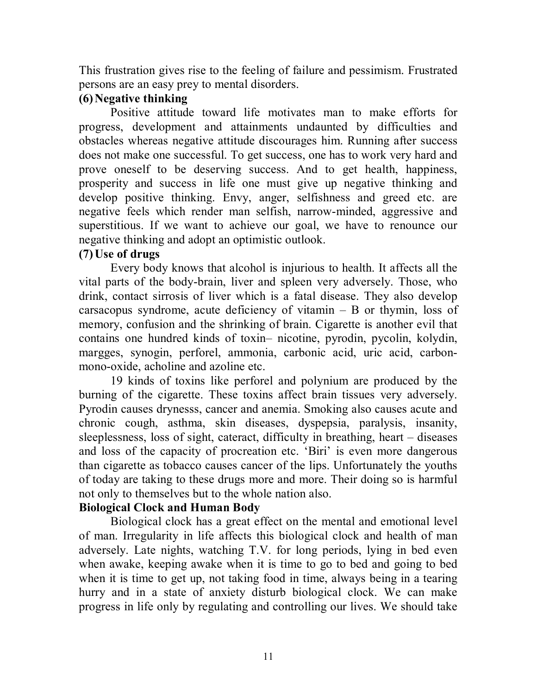This frustration gives rise to the feeling of failure and pessimism. Frustrated persons are an easy prey to mental disorders.

## **(6)Negative thinking**

Positive attitude toward life motivates man to make efforts for progress, development and attainments undaunted by difficulties and obstacles whereas negative attitude discourages him. Running after success does not make one successful. To get success, one has to work very hard and prove oneself to be deserving success. And to get health, happiness, prosperity and success in life one must give up negative thinking and develop positive thinking. Envy, anger, selfishness and greed etc. are negative feels which render man selfish, narrow-minded, aggressive and superstitious. If we want to achieve our goal, we have to renounce our negative thinking and adopt an optimistic outlook.

## **(7)Use of drugs**

Every body knows that alcohol is injurious to health. It affects all the vital parts of the body-brain, liver and spleen very adversely. Those, who drink, contact sirrosis of liver which is a fatal disease. They also develop carsacopus syndrome, acute deficiency of vitamin – B or thymin, loss of memory, confusion and the shrinking of brain. Cigarette is another evil that contains one hundred kinds of toxin– nicotine, pyrodin, pycolin, kolydin, margges, synogin, perforel, ammonia, carbonic acid, uric acid, carbonmono-oxide, acholine and azoline etc.

19 kinds of toxins like perforel and polynium are produced by the burning of the cigarette. These toxins affect brain tissues very adversely. Pyrodin causes drynesss, cancer and anemia. Smoking also causes acute and chronic cough, asthma, skin diseases, dyspepsia, paralysis, insanity, sleeplessness, loss of sight, cateract, difficulty in breathing, heart – diseases and loss of the capacity of procreation etc. 'Biri' is even more dangerous than cigarette as tobacco causes cancer of the lips. Unfortunately the youths of today are taking to these drugs more and more. Their doing so is harmful not only to themselves but to the whole nation also.

# **Biological Clock and Human Body**

Biological clock has a great effect on the mental and emotional level of man. Irregularity in life affects this biological clock and health of man adversely. Late nights, watching T.V. for long periods, lying in bed even when awake, keeping awake when it is time to go to bed and going to bed when it is time to get up, not taking food in time, always being in a tearing hurry and in a state of anxiety disturb biological clock. We can make progress in life only by regulating and controlling our lives. We should take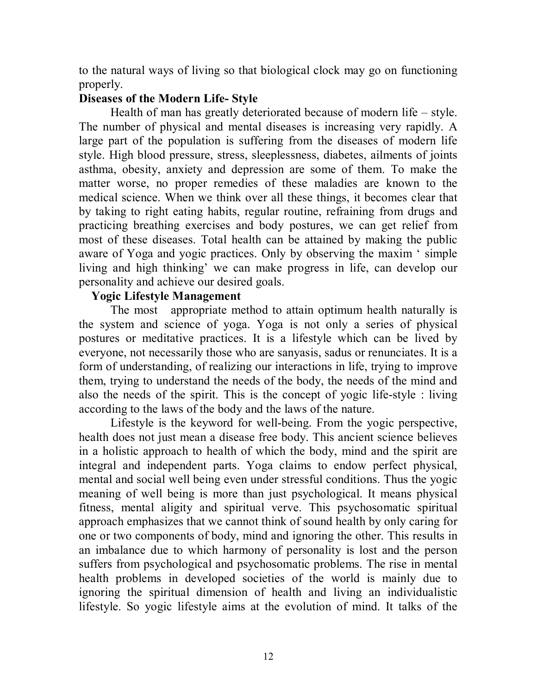to the natural ways of living so that biological clock may go on functioning properly.

### **Diseases of the Modern Life- Style**

Health of man has greatly deteriorated because of modern life – style. The number of physical and mental diseases is increasing very rapidly. A large part of the population is suffering from the diseases of modern life style. High blood pressure, stress, sleeplessness, diabetes, ailments of joints asthma, obesity, anxiety and depression are some of them. To make the matter worse, no proper remedies of these maladies are known to the medical science. When we think over all these things, it becomes clear that by taking to right eating habits, regular routine, refraining from drugs and practicing breathing exercises and body postures, we can get relief from most of these diseases. Total health can be attained by making the public aware of Yoga and yogic practices. Only by observing the maxim ' simple living and high thinking' we can make progress in life, can develop our personality and achieve our desired goals.

### **Yogic Lifestyle Management**

The most appropriate method to attain optimum health naturally is the system and science of yoga. Yoga is not only a series of physical postures or meditative practices. It is a lifestyle which can be lived by everyone, not necessarily those who are sanyasis, sadus or renunciates. It is a form of understanding, of realizing our interactions in life, trying to improve them, trying to understand the needs of the body, the needs of the mind and also the needs of the spirit. This is the concept of yogic life-style : living according to the laws of the body and the laws of the nature.

Lifestyle is the keyword for well-being. From the yogic perspective, health does not just mean a disease free body. This ancient science believes in a holistic approach to health of which the body, mind and the spirit are integral and independent parts. Yoga claims to endow perfect physical, mental and social well being even under stressful conditions. Thus the yogic meaning of well being is more than just psychological. It means physical fitness, mental aligity and spiritual verve. This psychosomatic spiritual approach emphasizes that we cannot think of sound health by only caring for one or two components of body, mind and ignoring the other. This results in an imbalance due to which harmony of personality is lost and the person suffers from psychological and psychosomatic problems. The rise in mental health problems in developed societies of the world is mainly due to ignoring the spiritual dimension of health and living an individualistic lifestyle. So yogic lifestyle aims at the evolution of mind. It talks of the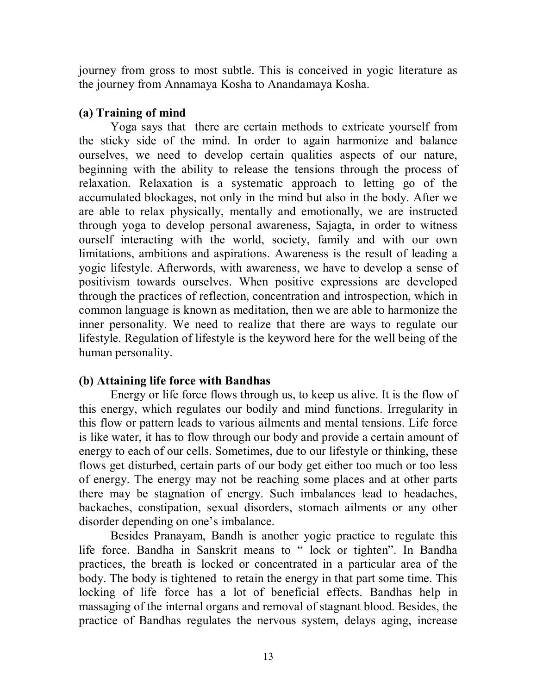journey from gross to most subtle. This is conceived in yogic literature as the journey from Annamaya Kosha to Anandamaya Kosha.

## **(a) Training of mind**

Yoga says that there are certain methods to extricate yourself from the sticky side of the mind. In order to again harmonize and balance ourselves, we need to develop certain qualities aspects of our nature, beginning with the ability to release the tensions through the process of relaxation. Relaxation is a systematic approach to letting go of the accumulated blockages, not only in the mind but also in the body. After we are able to relax physically, mentally and emotionally, we are instructed through yoga to develop personal awareness, Sajagta, in order to witness ourself interacting with the world, society, family and with our own limitations, ambitions and aspirations. Awareness is the result of leading a yogic lifestyle. Afterwords, with awareness, we have to develop a sense of positivism towards ourselves. When positive expressions are developed through the practices of reflection, concentration and introspection, which in common language is known as meditation, then we are able to harmonize the inner personality. We need to realize that there are ways to regulate our lifestyle. Regulation of lifestyle is the keyword here for the well being of the human personality.

## **(b) Attaining life force with Bandhas**

Energy or life force flows through us, to keep us alive. It is the flow of this energy, which regulates our bodily and mind functions. Irregularity in this flow or pattern leads to various ailments and mental tensions. Life force is like water, it has to flow through our body and provide a certain amount of energy to each of our cells. Sometimes, due to our lifestyle or thinking, these flows get disturbed, certain parts of our body get either too much or too less of energy. The energy may not be reaching some places and at other parts there may be stagnation of energy. Such imbalances lead to headaches, backaches, constipation, sexual disorders, stomach ailments or any other disorder depending on one's imbalance.

Besides Pranayam, Bandh is another yogic practice to regulate this life force. Bandha in Sanskrit means to " lock or tighten". In Bandha practices, the breath is locked or concentrated in a particular area of the body. The body is tightened to retain the energy in that part some time. This locking of life force has a lot of beneficial effects. Bandhas help in massaging of the internal organs and removal of stagnant blood. Besides, the practice of Bandhas regulates the nervous system, delays aging, increase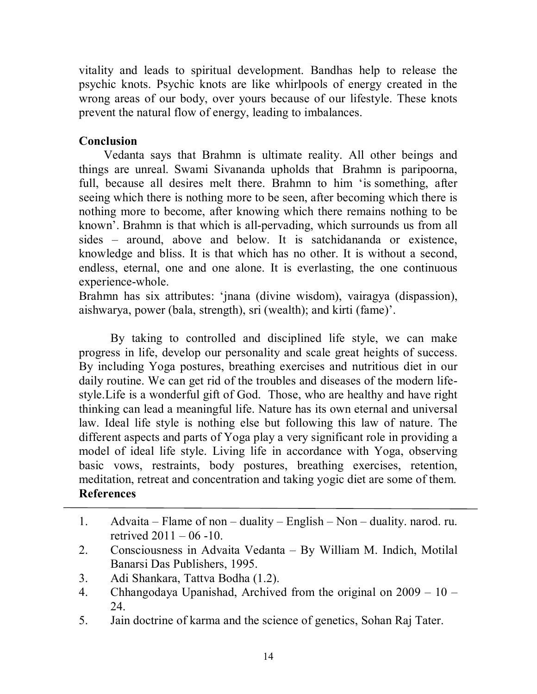vitality and leads to spiritual development. Bandhas help to release the psychic knots. Psychic knots are like whirlpools of energy created in the wrong areas of our body, over yours because of our lifestyle. These knots prevent the natural flow of energy, leading to imbalances.

# **Conclusion**

Vedanta says that Brahmn is ultimate reality. All other beings and things are unreal. Swami Sivananda upholds that Brahmn is paripoorna, full, because all desires melt there. Brahmn to him 'is something, after seeing which there is nothing more to be seen, after becoming which there is nothing more to become, after knowing which there remains nothing to be known'. Brahmn is that which is all-pervading, which surrounds us from all sides – around, above and below. It is satchidananda or existence, knowledge and bliss. It is that which has no other. It is without a second, endless, eternal, one and one alone. It is everlasting, the one continuous experience-whole.

Brahmn has six attributes: 'jnana (divine wisdom), vairagya (dispassion), aishwarya, power (bala, strength), sri (wealth); and kirti (fame)'.

By taking to controlled and disciplined life style, we can make progress in life, develop our personality and scale great heights of success. By including Yoga postures, breathing exercises and nutritious diet in our daily routine. We can get rid of the troubles and diseases of the modern lifestyle.Life is a wonderful gift of God. Those, who are healthy and have right thinking can lead a meaningful life. Nature has its own eternal and universal law. Ideal life style is nothing else but following this law of nature. The different aspects and parts of Yoga play a very significant role in providing a model of ideal life style. Living life in accordance with Yoga, observing basic vows, restraints, body postures, breathing exercises, retention, meditation, retreat and concentration and taking yogic diet are some of them. **References**

- 1. Advaita Flame of non duality English Non duality. narod. ru. retrived  $2011 - 06 - 10$ .
- 2. Consciousness in Advaita Vedanta By William M. Indich, Motilal Banarsi Das Publishers, 1995.
- 3. Adi Shankara, Tattva Bodha (1.2).
- 4. Chhangodaya Upanishad, Archived from the original on 2009 10 24.
- 5. Jain doctrine of karma and the science of genetics, Sohan Raj Tater.